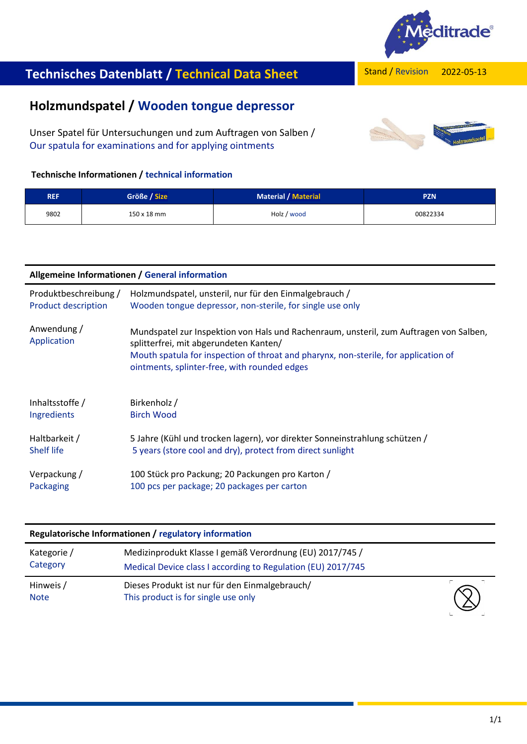

2022-05-13

# Stand / Revision **Technisches Datenblatt / Technical Data Sheet**

## **Holzmundspatel / Wooden tongue depressor**

Unser Spatel für Untersuchungen und zum Auftragen von Salben / Our spatula for examinations and for applying ointments

### **Technische Informationen / technical information**

| <b>REF</b> | Größe / Size | <b>Material / Material</b> | <b>PZN</b> |
|------------|--------------|----------------------------|------------|
| 9802       | 150 x 18 mm  | Holz / wood                | 00822334   |

| Allgemeine Informationen / General information |                                                                                                                                                                                                                                                                         |  |  |  |
|------------------------------------------------|-------------------------------------------------------------------------------------------------------------------------------------------------------------------------------------------------------------------------------------------------------------------------|--|--|--|
| Produktbeschreibung /                          | Holzmundspatel, unsteril, nur für den Einmalgebrauch /                                                                                                                                                                                                                  |  |  |  |
| <b>Product description</b>                     | Wooden tongue depressor, non-sterile, for single use only                                                                                                                                                                                                               |  |  |  |
| Anwendung /<br>Application                     | Mundspatel zur Inspektion von Hals und Rachenraum, unsteril, zum Auftragen von Salben,<br>splitterfrei, mit abgerundeten Kanten/<br>Mouth spatula for inspection of throat and pharynx, non-sterile, for application of<br>ointments, splinter-free, with rounded edges |  |  |  |
| Inhaltsstoffe /                                | Birkenholz /                                                                                                                                                                                                                                                            |  |  |  |
| Ingredients                                    | <b>Birch Wood</b>                                                                                                                                                                                                                                                       |  |  |  |
| Haltbarkeit /                                  | 5 Jahre (Kühl und trocken lagern), vor direkter Sonneinstrahlung schützen /                                                                                                                                                                                             |  |  |  |
| <b>Shelf life</b>                              | 5 years (store cool and dry), protect from direct sunlight                                                                                                                                                                                                              |  |  |  |
| Verpackung /                                   | 100 Stück pro Packung; 20 Packungen pro Karton /                                                                                                                                                                                                                        |  |  |  |
| Packaging                                      | 100 pcs per package; 20 packages per carton                                                                                                                                                                                                                             |  |  |  |

#### **Regulatorische Informationen / regulatory information**

| Kategorie /<br>Category  | Medizinprodukt Klasse I gemäß Verordnung (EU) 2017/745 /<br>Medical Device class I according to Regulation (EU) 2017/745 |            |
|--------------------------|--------------------------------------------------------------------------------------------------------------------------|------------|
| Hinweis /<br><b>Note</b> | Dieses Produkt ist nur für den Einmalgebrauch/<br>This product is for single use only                                    | $\bigcirc$ |